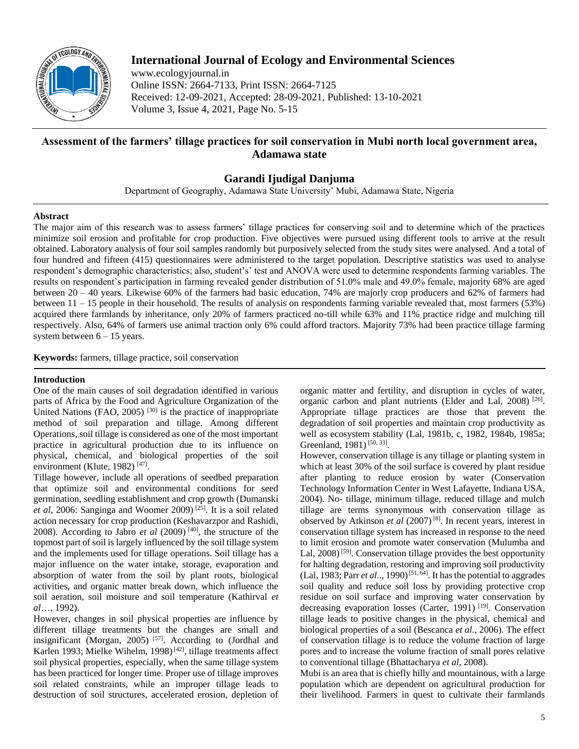

# **International Journal of Ecology and Environmental Sciences**

www.ecologyjournal.in Online ISSN: 2664-7133, Print ISSN: 2664-7125 Received: 12-09-2021, Accepted: 28-09-2021, Published: 13-10-2021 Volume 3, Issue 4, 2021, Page No. 5-15

# **Assessment of the farmers' tillage practices for soil conservation in Mubi north local government area, Adamawa state**

## **Garandi Ijudigal Danjuma**

Department of Geography, Adamawa State University' Mubi, Adamawa State, Nigeria

### **Abstract**

The major aim of this research was to assess farmers' tillage practices for conserving soil and to determine which of the practices minimize soil erosion and profitable for crop production. Five objectives were pursued using different tools to arrive at the result obtained. Laboratory analysis of four soil samples randomly but purposively selected from the study sites were analysed. And a total of four hundred and fifteen (415) questionnaires were administered to the target population. Descriptive statistics was used to analyse respondent's demographic characteristics; also, student's' test and ANOVA were used to determine respondents farming variables. The results on respondent's participation in farming revealed gender distribution of 51.0% male and 49.0% female, majority 68% are aged between 20 – 40 years. Likewise 60% of the farmers had basic education, 74% are majorly crop producers and 62% of farmers had between 11 – 15 people in their household. The results of analysis on respondents farming variable revealed that, most farmers (53%) acquired there farmlands by inheritance, only 20% of farmers practiced no-till while 63% and 11% practice ridge and mulching till respectively. Also, 64% of farmers use animal traction only 6% could afford tractors. Majority 73% had been practice tillage farming system between  $6 - 15$  years.

**Keywords:** farmers, tillage practice, soil conservation

## **Introduction**

One of the main causes of soil degradation identified in various parts of Africa by the Food and Agriculture Organization of the United Nations (FAO, 2005)<sup>[30]</sup> is the practice of inappropriate method of soil preparation and tillage. Among different Operations, soil tillage is considered as one of the most important practice in agricultural production due to its influence on physical, chemical, and biological properties of the soil environment (Klute, 1982)<sup>[47]</sup>.

Tillage however, include all operations of seedbed preparation that optimize soil and environmental conditions for seed germination, seedling establishment and crop growth (Dumanski *et al*, 2006: Sanginga and Woomer 2009) [25] . It is a soil related action necessary for crop production (Keshavarzpor and Rashidi, 2008). According to Jabro *et al* (2009) [40] , the structure of the topmost part of soil is largely influenced by the soil tillage system and the implements used for tillage operations. Soil tillage has a major influence on the water intake, storage, evaporation and absorption of water from the soil by plant roots, biological activities, and organic matter break down, which influence the soil aeration, soil moisture and soil temperature (Kathirval *et al*…, 1992).

However, changes in soil physical properties are influence by different tillage treatments but the changes are small and insignificant (Morgan, 2005)<sup>[57]</sup>. According to (Jordhal and Karlen 1993; Mielke Wihelm, 1998)<sup>[42]</sup>, tillage treatments affect soil physical properties, especially, when the same tillage system has been practiced for longer time. Proper use of tillage improves soil related constraints, while an improper tillage leads to destruction of soil structures, accelerated erosion, depletion of organic matter and fertility, and disruption in cycles of water, organic carbon and plant nutrients (Elder and Lal, 2008)<sup>[26]</sup>. Appropriate tillage practices are those that prevent the degradation of soil properties and maintain crop productivity as well as ecosystem stability (Lal, 1981b, c, 1982, 1984b, 1985a; Greenland, 1981)<sup>[50, 33]</sup>.

However, conservation tillage is any tillage or planting system in which at least 30% of the soil surface is covered by plant residue after planting to reduce erosion by water (Conservation Technology Information Center in West Lafayette, Indiana USA, 2004). No- tillage, minimum tillage, reduced tillage and mulch tillage are terms synonymous with conservation tillage as observed by Atkinson *et al* (2007) [8] . In recent years, interest in conservation tillage system has increased in response to the need to limit erosion and promote water conservation (Mulumba and Lal,  $2008$ <sup>[59]</sup>. Conservation tillage provides the best opportunity for halting degradation, restoring and improving soil productivity  $(Lal, 1983; Parr *et al.*., 1990)<sup>[51, 64]</sup>. It has the potential to aggregates$ soil quality and reduce soil loss by providing protective crop residue on soil surface and improving water conservation by decreasing evaporation losses (Carter, 1991)<sup>[19]</sup>. Conservation tillage leads to positive changes in the physical, chemical and biological properties of a soil (Bescanca *et al*., 2006). The effect of conservation tillage is to reduce the volume fraction of large pores and to increase the volume fraction of small pores relative to conventional tillage (Bhattacharya *et al*, 2008).

Mubi is an area that is chiefly hilly and mountainous, with a large population which are dependent on agricultural production for their livelihood. Farmers in quest to cultivate their farmlands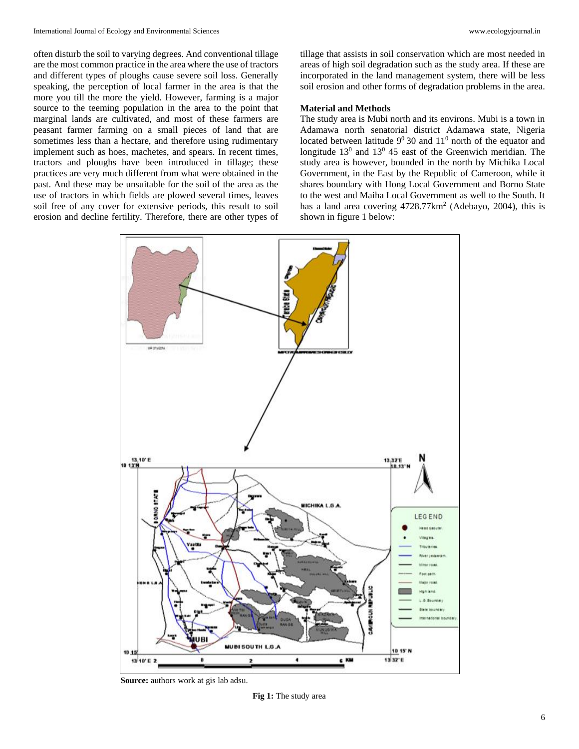often disturb the soil to varying degrees. And conventional tillage are the most common practice in the area where the use of tractors and different types of ploughs cause severe soil loss. Generally speaking, the perception of local farmer in the area is that the more you till the more the yield. However, farming is a major source to the teeming population in the area to the point that marginal lands are cultivated, and most of these farmers are peasant farmer farming on a small pieces of land that are sometimes less than a hectare, and therefore using rudimentary implement such as hoes, machetes, and spears. In recent times, tractors and ploughs have been introduced in tillage; these practices are very much different from what were obtained in the past. And these may be unsuitable for the soil of the area as the use of tractors in which fields are plowed several times, leaves soil free of any cover for extensive periods, this result to soil erosion and decline fertility. Therefore, there are other types of

tillage that assists in soil conservation which are most needed in areas of high soil degradation such as the study area. If these are incorporated in the land management system, there will be less soil erosion and other forms of degradation problems in the area.

## **Material and Methods**

The study area is Mubi north and its environs. Mubi is a town in Adamawa north senatorial district Adamawa state, Nigeria located between latitude  $9^0$  30 and  $11^0$  north of the equator and longitude  $13^0$  and  $13^0$  45 east of the Greenwich meridian. The study area is however, bounded in the north by Michika Local Government, in the East by the Republic of Cameroon, while it shares boundary with Hong Local Government and Borno State to the west and Maiha Local Government as well to the South. It has a land area covering 4728.77km<sup>2</sup> (Adebayo, 2004), this is shown in figure 1 below:



**Source:** authors work at gis lab adsu.

**Fig 1:** The study area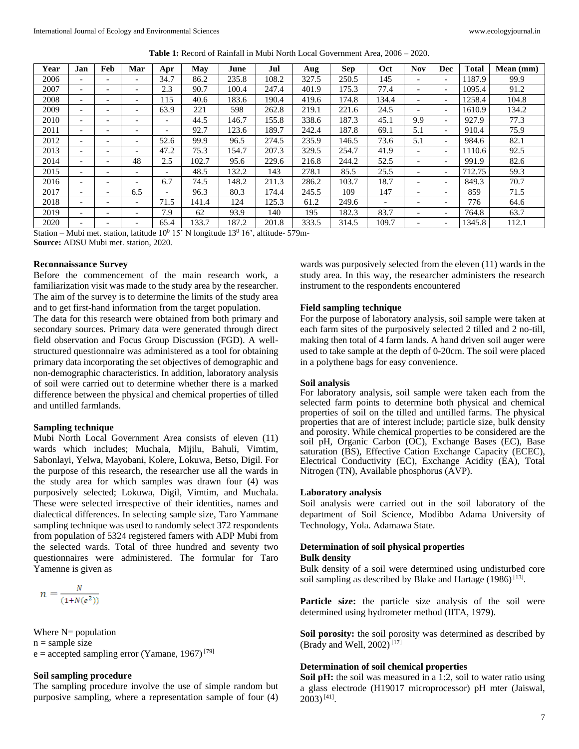| Year | Jan                      | Feb                      | Mar                      | Apr                      | May   | June  | Jul   | Aug   | <b>Sep</b> | Oct                      | <b>Nov</b>               | Dec                      | l'otal | Mean (mm) |
|------|--------------------------|--------------------------|--------------------------|--------------------------|-------|-------|-------|-------|------------|--------------------------|--------------------------|--------------------------|--------|-----------|
| 2006 | $\overline{\phantom{0}}$ | $\overline{\phantom{a}}$ | $\overline{\phantom{0}}$ | 34.7                     | 86.2  | 235.8 | 108.2 | 327.5 | 250.5      | 145                      | $\overline{\phantom{a}}$ | $\overline{\phantom{a}}$ | 1187.9 | 99.9      |
| 2007 | $\overline{\phantom{0}}$ | $\overline{\phantom{a}}$ | $\overline{\phantom{0}}$ | 2.3                      | 90.7  | 100.4 | 247.4 | 401.9 | 175.3      | 77.4                     | $\overline{\phantom{0}}$ | $\overline{\phantom{a}}$ | 1095.4 | 91.2      |
| 2008 | $\overline{\phantom{0}}$ | $\overline{\phantom{0}}$ | $\overline{\phantom{0}}$ | 115                      | 40.6  | 183.6 | 190.4 | 419.6 | 174.8      | 134.4                    | $\overline{\phantom{0}}$ | $\overline{\phantom{a}}$ | 1258.4 | 104.8     |
| 2009 | $\overline{\phantom{a}}$ | $\overline{\phantom{a}}$ | $\overline{\phantom{0}}$ | 63.9                     | 221   | 598   | 262.8 | 219.1 | 221.6      | 24.5                     | $\overline{\phantom{a}}$ | $\overline{\phantom{a}}$ | 1610.9 | 134.2     |
| 2010 | $\overline{\phantom{0}}$ | $\overline{\phantom{a}}$ | $\overline{\phantom{0}}$ | $\overline{\phantom{0}}$ | 44.5  | 146.7 | 155.8 | 338.6 | 187.3      | 45.1                     | 9.9                      | $\overline{\phantom{0}}$ | 927.9  | 77.3      |
| 2011 | $\overline{\phantom{0}}$ |                          |                          |                          | 92.7  | 123.6 | 189.7 | 242.4 | 187.8      | 69.1                     | 5.1                      | $\overline{\phantom{a}}$ | 910.4  | 75.9      |
| 2012 | $\overline{\phantom{0}}$ | $\overline{\phantom{a}}$ | $\overline{\phantom{0}}$ | 52.6                     | 99.9  | 96.5  | 274.5 | 235.9 | 146.5      | 73.6                     | 5.1                      | $\overline{\phantom{a}}$ | 984.6  | 82.1      |
| 2013 | $\overline{\phantom{0}}$ | $\overline{\phantom{a}}$ | $\overline{\phantom{0}}$ | 47.2                     | 75.3  | 154.7 | 207.3 | 329.5 | 254.7      | 41.9                     | $\overline{\phantom{0}}$ | $\overline{\phantom{a}}$ | 1110.6 | 92.5      |
| 2014 | $\overline{\phantom{0}}$ |                          | 48                       | 2.5                      | 102.7 | 95.6  | 229.6 | 216.8 | 244.2      | 52.5                     | $\overline{\phantom{0}}$ | $\overline{\phantom{a}}$ | 991.9  | 82.6      |
| 2015 | $\overline{\phantom{0}}$ | $\overline{\phantom{a}}$ | $\overline{\phantom{0}}$ | $\overline{\phantom{0}}$ | 48.5  | 132.2 | 143   | 278.1 | 85.5       | 25.5                     | $\overline{\phantom{0}}$ | $\overline{\phantom{a}}$ | 712.75 | 59.3      |
| 2016 | $\overline{\phantom{0}}$ | $\overline{\phantom{a}}$ | $\overline{\phantom{0}}$ | 6.7                      | 74.5  | 148.2 | 211.3 | 286.2 | 103.7      | 18.7                     | $\overline{\phantom{a}}$ | $\overline{\phantom{a}}$ | 849.3  | 70.7      |
| 2017 | $\overline{\phantom{0}}$ |                          | 6.5                      | $\overline{\phantom{0}}$ | 96.3  | 80.3  | 174.4 | 245.5 | 109        | 147                      | $\overline{\phantom{0}}$ | $\overline{\phantom{0}}$ | 859    | 71.5      |
| 2018 | $\overline{\phantom{0}}$ | $\overline{\phantom{0}}$ | $\overline{\phantom{0}}$ | 71.5                     | 141.4 | 124   | 125.3 | 61.2  | 249.6      | $\overline{\phantom{a}}$ | $\overline{\phantom{0}}$ | $\overline{\phantom{a}}$ | 776    | 64.6      |
| 2019 | $\overline{\phantom{0}}$ | $\overline{\phantom{a}}$ | $\overline{\phantom{0}}$ | 7.9                      | 62    | 93.9  | 140   | 195   | 182.3      | 83.7                     | $\overline{\phantom{a}}$ | $\overline{\phantom{a}}$ | 764.8  | 63.7      |
| 2020 |                          |                          |                          | 65.4                     | 133.7 | 187.2 | 201.8 | 333.5 | 314.5      | 109.7                    | $\overline{\phantom{0}}$ | $\overline{\phantom{a}}$ | 1345.8 | 112.1     |

**Table 1:** Record of Rainfall in Mubi North Local Government Area, 2006 – 2020.

Station – Mubi met. station, latitude  $10^0$  15' N longitude 13<sup>0</sup> 16', altitude- 579m-**Source:** ADSU Mubi met. station, 2020.

#### **Reconnaissance Survey**

Before the commencement of the main research work, a familiarization visit was made to the study area by the researcher. The aim of the survey is to determine the limits of the study area and to get first-hand information from the target population.

The data for this research were obtained from both primary and secondary sources. Primary data were generated through direct field observation and Focus Group Discussion (FGD). A wellstructured questionnaire was administered as a tool for obtaining primary data incorporating the set objectives of demographic and non-demographic characteristics. In addition, laboratory analysis of soil were carried out to determine whether there is a marked difference between the physical and chemical properties of tilled and untilled farmlands.

#### **Sampling technique**

Mubi North Local Government Area consists of eleven (11) wards which includes; Muchala, Mijilu, Bahuli, Vimtim, Sabonlayi, Yelwa, Mayobani, Kolere, Lokuwa, Betso, Digil. For the purpose of this research, the researcher use all the wards in the study area for which samples was drawn four (4) was purposively selected; Lokuwa, Digil, Vimtim, and Muchala. These were selected irrespective of their identities, names and dialectical differences. In selecting sample size, Taro Yammane sampling technique was used to randomly select 372 respondents from population of 5324 registered famers with ADP Mubi from the selected wards. Total of three hundred and seventy two questionnaires were administered. The formular for Taro Yamenne is given as

$$
n = \frac{N}{(1+N(e^2))}
$$

Where  $N=$  population

 $n =$ sample size

 $e =$  accepted sampling error (Yamane, 1967)<sup>[79]</sup>

## **Soil sampling procedure**

The sampling procedure involve the use of simple random but purposive sampling, where a representation sample of four (4) wards was purposively selected from the eleven (11) wards in the study area. In this way, the researcher administers the research instrument to the respondents encountered

### **Field sampling technique**

For the purpose of laboratory analysis, soil sample were taken at each farm sites of the purposively selected 2 tilled and 2 no-till, making then total of 4 farm lands. A hand driven soil auger were used to take sample at the depth of 0-20cm. The soil were placed in a polythene bags for easy convenience.

#### **Soil analysis**

For laboratory analysis, soil sample were taken each from the selected farm points to determine both physical and chemical properties of soil on the tilled and untilled farms. The physical properties that are of interest include; particle size, bulk density and porosity. While chemical properties to be considered are the soil pH, Organic Carbon (OC), Exchange Bases (EC), Base saturation (BS), Effective Cation Exchange Capacity (ECEC), Electrical Conductivity (EC), Exchange Acidity (EA), Total Nitrogen (TN), Available phosphorus (AVP).

#### **Laboratory analysis**

Soil analysis were carried out in the soil laboratory of the department of Soil Science, Modibbo Adama University of Technology, Yola. Adamawa State.

#### **Determination of soil physical properties Bulk density**

Bulk density of a soil were determined using undisturbed core soil sampling as described by Blake and Hartage (1986)<sup>[13]</sup>.

**Particle size:** the particle size analysis of the soil were determined using hydrometer method (IITA, 1979).

**Soil porosity:** the soil porosity was determined as described by (Brady and Well, 2002)<sup>[17]</sup>

#### **Determination of soil chemical properties**

**Soil pH:** the soil was measured in a 1:2, soil to water ratio using a glass electrode (H19017 microprocessor) pH mter (Jaiswal,  $2003$ )<sup>[41]</sup>.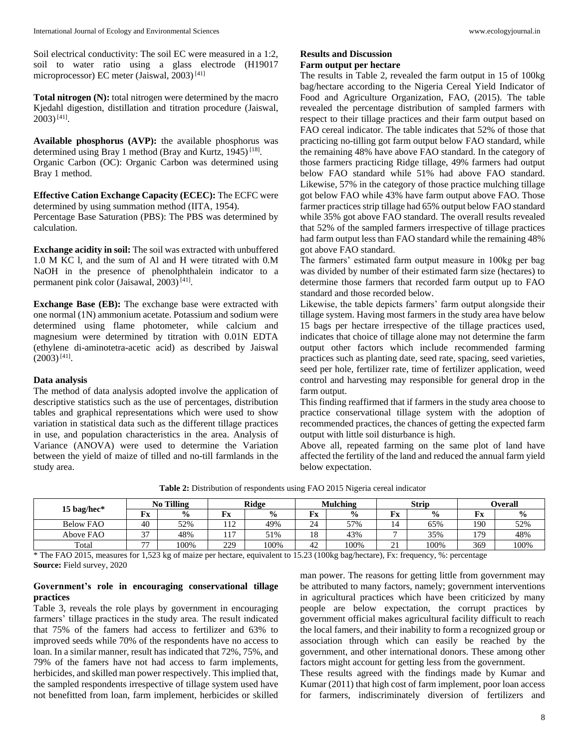Soil electrical conductivity: The soil EC were measured in a 1:2, soil to water ratio using a glass electrode (H19017 microprocessor) EC meter (Jaiswal, 2003)<sup>[41]</sup>

**Total nitrogen (N):** total nitrogen were determined by the macro Kjedahl digestion, distillation and titration procedure (Jaiswal,  $2003)$ <sup>[41]</sup>.

**Available phosphorus (AVP):** the available phosphorus was determined using Bray 1 method (Bray and Kurtz, 1945)<sup>[18]</sup>. Organic Carbon (OC): Organic Carbon was determined using Bray 1 method.

**Effective Cation Exchange Capacity (ECEC):** The ECFC were determined by using summation method (IITA, 1954). Percentage Base Saturation (PBS): The PBS was determined by calculation.

**Exchange acidity in soil:** The soil was extracted with unbuffered 1.0 M KC l, and the sum of Al and H were titrated with 0.M NaOH in the presence of phenolphthalein indicator to a permanent pink color (Jaisawal, 2003)<sup>[41]</sup>.

**Exchange Base (EB):** The exchange base were extracted with one normal (1N) ammonium acetate. Potassium and sodium were determined using flame photometer, while calcium and magnesium were determined by titration with 0.01N EDTA (ethylene di-aminotetra-acetic acid) as described by Jaiswal  $(2003)^{[41]}$ .

### **Data analysis**

The method of data analysis adopted involve the application of descriptive statistics such as the use of percentages, distribution tables and graphical representations which were used to show variation in statistical data such as the different tillage practices in use, and population characteristics in the area. Analysis of Variance (ANOVA) were used to determine the Variation between the yield of maize of tilled and no-till farmlands in the study area.

## **Results and Discussion**

## **Farm output per hectare**

The results in Table 2, revealed the farm output in 15 of 100kg bag/hectare according to the Nigeria Cereal Yield Indicator of Food and Agriculture Organization, FAO, (2015). The table revealed the percentage distribution of sampled farmers with respect to their tillage practices and their farm output based on FAO cereal indicator. The table indicates that 52% of those that practicing no-tilling got farm output below FAO standard, while the remaining 48% have above FAO standard. In the category of those farmers practicing Ridge tillage, 49% farmers had output below FAO standard while 51% had above FAO standard. Likewise, 57% in the category of those practice mulching tillage got below FAO while 43% have farm output above FAO. Those farmer practices strip tillage had 65% output below FAO standard while 35% got above FAO standard. The overall results revealed that 52% of the sampled farmers irrespective of tillage practices had farm output less than FAO standard while the remaining 48% got above FAO standard.

The farmers' estimated farm output measure in 100kg per bag was divided by number of their estimated farm size (hectares) to determine those farmers that recorded farm output up to FAO standard and those recorded below.

Likewise, the table depicts farmers' farm output alongside their tillage system. Having most farmers in the study area have below 15 bags per hectare irrespective of the tillage practices used, indicates that choice of tillage alone may not determine the farm output other factors which include recommended farming practices such as planting date, seed rate, spacing, seed varieties, seed per hole, fertilizer rate, time of fertilizer application, weed control and harvesting may responsible for general drop in the farm output.

This finding reaffirmed that if farmers in the study area choose to practice conservational tillage system with the adoption of recommended practices, the chances of getting the expected farm output with little soil disturbance is high.

Above all, repeated farming on the same plot of land have affected the fertility of the land and reduced the annual farm yield below expectation.

**Table 2:** Distribution of respondents using FAO 2015 Nigeria cereal indicator

|                  | <b>No Tilling</b> |               | <b>Ridge</b> |               |    | Mulching      |                       | <b>Strip</b>  | Overall |               |  |
|------------------|-------------------|---------------|--------------|---------------|----|---------------|-----------------------|---------------|---------|---------------|--|
| 15 bag/hec*      | Fx                | $\frac{6}{9}$ | Fx           | $\frac{6}{9}$ | Fx | $\frac{0}{0}$ | Fx                    | $\frac{0}{0}$ | Fx      | $\frac{6}{6}$ |  |
| <b>Below FAO</b> | 40                | 52%           | 112<br>114   | 49%           | 24 | 57%           | 14                    | 65%           | 190     | 52%           |  |
| Above FAO        | 37                | 48%           | 117          | 51%           | 18 | 43%           | -                     | 35%           | 179     | 48%           |  |
| Total            | 77                | 100%          | 229          | 100%          | 42 | 100%          | $^{\sim}$<br>$\sim$ 1 | 100%          | 369     | 100%          |  |

\* The FAO 2015, measures for 1,523 kg of maize per hectare, equivalent to 15.23 (100kg bag/hectare), Fx: frequency, %: percentage **Source:** Field survey, 2020

### **Government's role in encouraging conservational tillage practices**

Table 3, reveals the role plays by government in encouraging farmers' tillage practices in the study area. The result indicated that 75% of the famers had access to fertilizer and 63% to improved seeds while 70% of the respondents have no access to loan. In a similar manner, result has indicated that 72%, 75%, and 79% of the famers have not had access to farm implements, herbicides, and skilled man power respectively. This implied that, the sampled respondents irrespective of tillage system used have not benefitted from loan, farm implement, herbicides or skilled

man power. The reasons for getting little from government may be attributed to many factors, namely; government interventions in agricultural practices which have been criticized by many people are below expectation, the corrupt practices by government official makes agricultural facility difficult to reach the local famers, and their inability to form a recognized group or association through which can easily be reached by the government, and other international donors. These among other factors might account for getting less from the government.

These results agreed with the findings made by Kumar and Kumar (2011) that high cost of farm implement, poor loan access for farmers, indiscriminately diversion of fertilizers and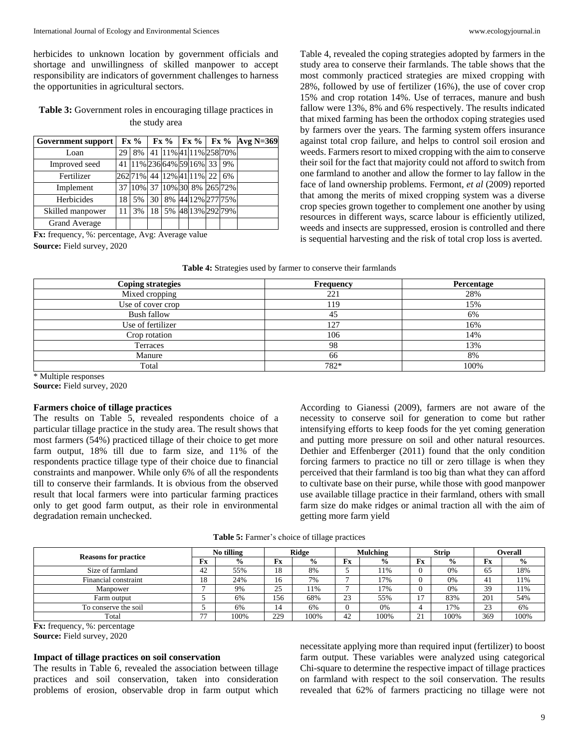herbicides to unknown location by government officials and shortage and unwillingness of skilled manpower to accept responsibility are indicators of government challenges to harness the opportunities in agricultural sectors.

**Table 3:** Government roles in encouraging tillage practices in the study area

| Government support   | Fx% |    |                 |  | $Fx %$ $Fx %$ $Fx %$ $Axg N=369$          |    |  |
|----------------------|-----|----|-----------------|--|-------------------------------------------|----|--|
| Loan                 | 29  | 8% |                 |  | 41 11% 41 11% 258 70%                     |    |  |
| Improved seed        |     |    |                 |  | 41   11%   236   64%   59   16%   33   9% |    |  |
| Fertilizer           |     |    |                 |  | 262 71% 44 12% 41 11% 22                  | 6% |  |
| Implement            |     |    |                 |  | 37 10% 37 10% 30 8% 265 72%               |    |  |
| Herbicides           | 18  | 5% | 30 <sup>1</sup> |  | 8% 44 12% 277 75%                         |    |  |
| Skilled manpower     |     | 3% | 18 I            |  | 5% 48 13% 292 79%                         |    |  |
| <b>Grand Average</b> |     |    |                 |  |                                           |    |  |

**Fx:** frequency, %: percentage, Avg: Average value **Source:** Field survey, 2020

Table 4, revealed the coping strategies adopted by farmers in the study area to conserve their farmlands. The table shows that the most commonly practiced strategies are mixed cropping with 28%, followed by use of fertilizer (16%), the use of cover crop

15% and crop rotation 14%. Use of terraces, manure and bush fallow were 13%, 8% and 6% respectively. The results indicated that mixed farming has been the orthodox coping strategies used by farmers over the years. The farming system offers insurance against total crop failure, and helps to control soil erosion and weeds. Farmers resort to mixed cropping with the aim to conserve their soil for the fact that majority could not afford to switch from one farmland to another and allow the former to lay fallow in the face of land ownership problems. Fermont, *et al* (2009) reported that among the merits of mixed cropping system was a diverse crop species grown together to complement one another by using resources in different ways, scarce labour is efficiently utilized, weeds and insects are suppressed, erosion is controlled and there is sequential harvesting and the risk of total crop loss is averted.

| Table 4: Strategies used by farmer to conserve their farmlands |  |  |
|----------------------------------------------------------------|--|--|
|----------------------------------------------------------------|--|--|

| <b>Coping strategies</b> | Frequency | Percentage |
|--------------------------|-----------|------------|
| Mixed cropping           | 221       | 28%        |
| Use of cover crop        | 119       | 15%        |
| <b>Bush fallow</b>       | 45        | 6%         |
| Use of fertilizer        | 127       | 16%        |
| Crop rotation            | 106       | 14%        |
| Terraces                 | 98        | 13%        |
| Manure                   | 66        | 8%         |
| Total                    | 782*      | 100%       |

\* Multiple responses

**Source:** Field survey, 2020

#### **Farmers choice of tillage practices**

The results on Table 5, revealed respondents choice of a particular tillage practice in the study area. The result shows that most farmers (54%) practiced tillage of their choice to get more farm output, 18% till due to farm size, and 11% of the respondents practice tillage type of their choice due to financial constraints and manpower. While only 6% of all the respondents till to conserve their farmlands. It is obvious from the observed result that local farmers were into particular farming practices only to get good farm output, as their role in environmental degradation remain unchecked.

According to Gianessi (2009), farmers are not aware of the necessity to conserve soil for generation to come but rather intensifying efforts to keep foods for the yet coming generation and putting more pressure on soil and other natural resources. Dethier and Effenberger (2011) found that the only condition forcing farmers to practice no till or zero tillage is when they perceived that their farmland is too big than what they can afford to cultivate base on their purse, while those with good manpower use available tillage practice in their farmland, others with small farm size do make ridges or animal traction all with the aim of getting more farm yield

| <b>Table 5:</b> Farmer's choice of tillage practices |  |  |  |  |
|------------------------------------------------------|--|--|--|--|
|------------------------------------------------------|--|--|--|--|

|                             | No tilling     |               | Ridge    |               |    | <b>Mulching</b> | <b>Strip</b> |               | Overall |               |
|-----------------------------|----------------|---------------|----------|---------------|----|-----------------|--------------|---------------|---------|---------------|
| <b>Reasons for practice</b> | Fx             | $\frac{6}{9}$ | Fx       | $\frac{6}{9}$ | Fx | $\frac{0}{0}$   | Fx           | $\frac{6}{9}$ | Fx      | $\frac{0}{0}$ |
| Size of farmland            | 42             | 55%           | 18       | 8%            |    | 11%             |              | 0%            | 65      | 18%           |
| Financial constraint        | 18             | 24%           | 16       | 7%            |    | 17%             |              | 0%            | 41      | 11%           |
| Manpower                    |                | 9%            | 25<br>رے | 11%           |    | 17%             |              | 0%            | 39      | 11%           |
| Farm output                 |                | 6%            | 156      | 68%           | 23 | 55%             |              | 83%           | 201     | 54%           |
| To conserve the soil        |                | 6%            | 14       | 6%            |    | 0%              |              | 17%           | 23      | 6%            |
| Total                       | $\overline{a}$ | 100%          | 229      | 100%          | 42 | 100%            | 21           | 100%          | 369     | 100%          |

**Fx:** frequency, %: percentage

**Source:** Field survey, 2020

#### **Impact of tillage practices on soil conservation**

The results in Table 6, revealed the association between tillage practices and soil conservation, taken into consideration problems of erosion, observable drop in farm output which

necessitate applying more than required input (fertilizer) to boost farm output. These variables were analyzed using categorical Chi-square to determine the respective impact of tillage practices on farmland with respect to the soil conservation. The results revealed that 62% of farmers practicing no tillage were not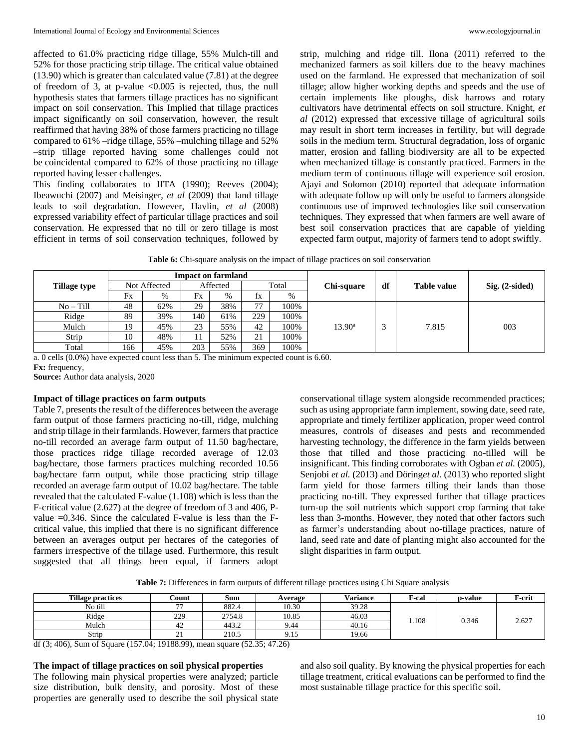affected to 61.0% practicing ridge tillage, 55% Mulch-till and 52% for those practicing strip tillage. The critical value obtained (13.90) which is greater than calculated value (7.81) at the degree of freedom of 3, at p-value <0.005 is rejected, thus, the null hypothesis states that farmers tillage practices has no significant impact on soil conservation. This Implied that tillage practices impact significantly on soil conservation, however, the result reaffirmed that having 38% of those farmers practicing no tillage compared to 61% –ridge tillage, 55% –mulching tillage and 52% –strip tillage reported having some challenges could not be coincidental compared to 62% of those practicing no tillage reported having lesser challenges.

This finding collaborates to IITA (1990); Reeves (2004); Ibeawuchi (2007) and Meisinger, *et al* (2009) that land tillage leads to soil degradation. However, Havlin, *et al* (2008) expressed variability effect of particular tillage practices and soil conservation. He expressed that no till or zero tillage is most efficient in terms of soil conservation techniques, followed by

strip, mulching and ridge till. Ilona (2011) referred to the mechanized farmers as soil killers due to the heavy machines used on the farmland. He expressed that mechanization of soil tillage; allow higher working depths and speeds and the use of certain implements like ploughs, disk harrows and rotary cultivators have detrimental effects on soil structure. Knight, *et al* (2012) expressed that excessive tillage of agricultural soils may result in short term increases in fertility, but will degrade soils in the medium term. Structural degradation, loss of organic matter, erosion and falling biodiversity are all to be expected when mechanized tillage is constantly practiced. Farmers in the medium term of continuous tillage will experience soil erosion. Ajayi and Solomon (2010) reported that adequate information with adequate follow up will only be useful to farmers alongside continuous use of improved technologies like soil conservation techniques. They expressed that when farmers are well aware of best soil conservation practices that are capable of yielding expected farm output, majority of farmers tend to adopt swiftly.

**Table 6:** Chi-square analysis on the impact of tillage practices on soil conservation

|                     |              |     |          | <b>Impact on farmland</b> |       |      |                   |    |                    |                  |  |  |
|---------------------|--------------|-----|----------|---------------------------|-------|------|-------------------|----|--------------------|------------------|--|--|
| <b>Tillage type</b> | Not Affected |     | Affected |                           | Total |      | <b>Chi-square</b> | df | <b>Table value</b> | $Sig. (2-sided)$ |  |  |
|                     | Fx           | %   | Fx       | $\%$                      | İХ    | %    |                   |    |                    |                  |  |  |
| $No-Till$           | 48           | 62% | 29       | 38%                       | 77    | 100% |                   |    |                    | 003              |  |  |
| Ridge               | 89           | 39% | 140      | 61%                       | 229   | 100% |                   |    |                    |                  |  |  |
| Mulch               | 19           | 45% | 23       | 55%                       | 42    | 100% | $13.90^{\rm a}$   | 2  | 7.815              |                  |  |  |
| Strip               | 10           | 48% | 11       | 52%                       | 21    | 100% |                   |    |                    |                  |  |  |
| Total               | 166          | 45% | 203      | 55%                       | 369   | 100% |                   |    |                    |                  |  |  |

a. 0 cells (0.0%) have expected count less than 5. The minimum expected count is 6.60. **Fx:** frequency,

**Source:** Author data analysis, 2020

## **Impact of tillage practices on farm outputs**

Table 7, presents the result of the differences between the average farm output of those farmers practicing no-till, ridge, mulching and strip tillage in their farmlands. However, farmers that practice no-till recorded an average farm output of 11.50 bag/hectare, those practices ridge tillage recorded average of 12.03 bag/hectare, those farmers practices mulching recorded 10.56 bag/hectare farm output, while those practicing strip tillage recorded an average farm output of 10.02 bag/hectare. The table revealed that the calculated F-value (1.108) which is less than the F-critical value (2.627) at the degree of freedom of 3 and 406, Pvalue =0.346. Since the calculated F-value is less than the Fcritical value, this implied that there is no significant difference between an averages output per hectares of the categories of farmers irrespective of the tillage used. Furthermore, this result suggested that all things been equal, if farmers adopt conservational tillage system alongside recommended practices; such as using appropriate farm implement, sowing date, seed rate, appropriate and timely fertilizer application, proper weed control measures, controls of diseases and pests and recommended harvesting technology, the difference in the farm yields between those that tilled and those practicing no-tilled will be insignificant. This finding corroborates with Ogban *et al.* (2005), Senjobi *et al.* (2013) and Döring*et al.* (2013) who reported slight farm yield for those farmers tilling their lands than those practicing no-till. They expressed further that tillage practices turn-up the soil nutrients which support crop farming that take less than 3-months. However, they noted that other factors such as farmer's understanding about no-tillage practices, nature of land, seed rate and date of planting might also accounted for the slight disparities in farm output.

**Table 7:** Differences in farm outputs of different tillage practices using Chi Square analysis

| <b>Tillage practices</b> | <b>Count</b>             | Sum    | Average | <b>Variance</b> | <b>F-cal</b> | p-value | F-crit |
|--------------------------|--------------------------|--------|---------|-----------------|--------------|---------|--------|
| No till                  | $\overline{\phantom{a}}$ | 882.4  | 10.30   | 39.28           |              |         |        |
| Ridge                    | 229                      | 2754.8 | 10.85   | 46.03           | .108         | 0.346   | 2.627  |
| Mulch                    | 42                       | 443.2  | 9.44    | 40.16           |              |         |        |
| Strip                    |                          | 210.5  | 9. I J  | 19.66           |              |         |        |

df (3; 406), Sum of Square (157.04; 19188.99), mean square (52.35; 47.26)

## **The impact of tillage practices on soil physical properties**

The following main physical properties were analyzed; particle size distribution, bulk density, and porosity. Most of these properties are generally used to describe the soil physical state and also soil quality. By knowing the physical properties for each tillage treatment, critical evaluations can be performed to find the most sustainable tillage practice for this specific soil.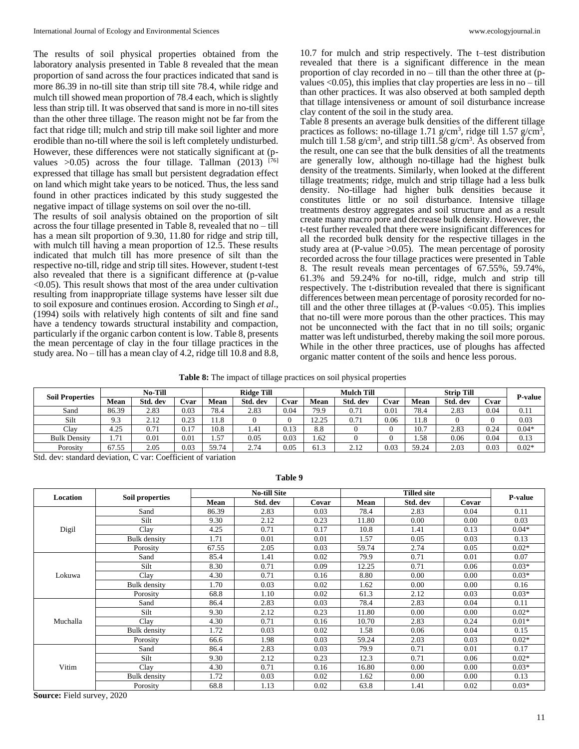The results of soil physical properties obtained from the laboratory analysis presented in Table 8 revealed that the mean proportion of sand across the four practices indicated that sand is more 86.39 in no-till site than strip till site 78.4, while ridge and mulch till showed mean proportion of 78.4 each, which is slightly less than strip till. It was observed that sand is more in no-till sites than the other three tillage. The reason might not be far from the fact that ridge till; mulch and strip till make soil lighter and more erodible than no-till where the soil is left completely undisturbed. However, these differences were not statically significant at (pvalues  $>0.05$ ) across the four tillage. Tallman (2013) [76] expressed that tillage has small but persistent degradation effect on land which might take years to be noticed. Thus, the less sand found in other practices indicated by this study suggested the negative impact of tillage systems on soil over the no-till.

The results of soil analysis obtained on the proportion of silt across the four tillage presented in Table 8, revealed that no – till has a mean silt proportion of 9.30, 11.80 for ridge and strip till, with mulch till having a mean proportion of 12.5. These results indicated that mulch till has more presence of silt than the respective no-till, ridge and strip till sites. However, student t-test also revealed that there is a significant difference at (p-value <0.05). This result shows that most of the area under cultivation resulting from inappropriate tillage systems have lesser silt due to soil exposure and continues erosion. According to Singh *et al*., (1994) soils with relatively high contents of silt and fine sand have a tendency towards structural instability and compaction, particularly if the organic carbon content is low. Table 8, presents the mean percentage of clay in the four tillage practices in the study area. No – till has a mean clay of 4.2, ridge till 10.8 and 8.8,

10.7 for mulch and strip respectively. The t–test distribution revealed that there is a significant difference in the mean proportion of clay recorded in no – till than the other three at (pvalues  $\langle 0.05 \rangle$ , this implies that clay properties are less in no – till than other practices. It was also observed at both sampled depth that tillage intensiveness or amount of soil disturbance increase clay content of the soil in the study area.

Table 8 presents an average bulk densities of the different tillage practices as follows: no-tillage 1.71 g/cm<sup>3</sup>, ridge till 1.57 g/cm<sup>3</sup>, mulch till 1.58 g/cm<sup>3</sup>, and strip till 1.58 g/cm<sup>3</sup>. As observed from the result, one can see that the bulk densities of all the treatments are generally low, although no-tillage had the highest bulk density of the treatments. Similarly, when looked at the different tillage treatments; ridge, mulch and strip tillage had a less bulk density. No-tillage had higher bulk densities because it constitutes little or no soil disturbance. Intensive tillage treatments destroy aggregates and soil structure and as a result create many macro pore and decrease bulk density. However, the t-test further revealed that there were insignificant differences for all the recorded bulk density for the respective tillages in the study area at  $(P-value > 0.05)$ . The mean percentage of porosity recorded across the four tillage practices were presented in Table 8. The result reveals mean percentages of 67.55%, 59.74%, 61.3% and 59.24% for no-till, ridge, mulch and strip till respectively. The t-distribution revealed that there is significant differences between mean percentage of porosity recorded for notill and the other three tillages at  $(P$ -values  $<0.05)$ . This implies that no-till were more porous than the other practices. This may not be unconnected with the fact that in no till soils; organic matter was left undisturbed, thereby making the soil more porous. While in the other three practices, use of ploughs has affected organic matter content of the soils and hence less porous.

**Table 8:** The impact of tillage practices on soil physical properties

|                        | <b>No-Till</b> |          |      | <b>Ridge Till</b> |          |      | <b>Mulch Till</b> |          |      |       |          | <b>P-value</b> |         |  |
|------------------------|----------------|----------|------|-------------------|----------|------|-------------------|----------|------|-------|----------|----------------|---------|--|
| <b>Soil Properties</b> | Mean           | Std. dev | Cvar | <b>Mean</b>       | Std. dev | Cvar | Mean              | Std. dev | Cvar | Mean  | Std. dev | Cvar           |         |  |
| Sand                   | 86.39          | 2.83     | 0.03 | 78.4              | 2.83     | 0.04 | 79.9              | 0.71     | 0.01 | 78.4  | 2.83     | 0.04           | 0.11    |  |
| Silt                   | 9.3            | 2.12     | 0.23 | 11.8              |          |      | 12.25             | 0.71     | 0.06 | 11.8  |          |                | 0.03    |  |
| Clay                   | 4.25           | 0.71     | 0.17 | 10.8              | 1.41     | 0.13 | 8.8               |          | 0    | 10.7  | 2.83     | 0.24           | $0.04*$ |  |
| <b>Bulk Density</b>    | 1.71           | 0.01     | 0.01 | 1.57              | 0.05     | 0.03 | 1.62              |          | ν    | 1.58  | 0.06     | 0.04           | 0.13    |  |
| Porosity               | 67.55          | 2.05     | 0.03 | 59.74             | 2.74     | 0.05 | 61.3              | 2.12     | 0.03 | 59.24 | 2.03     | 0.03           | $0.02*$ |  |

Std. dev: standard deviation, C var: Coefficient of variation

|          |                     |       | <b>No-till Site</b> |       |       | <b>Tilled site</b>                                                                                                                                                                                                                                                                        |       |         |
|----------|---------------------|-------|---------------------|-------|-------|-------------------------------------------------------------------------------------------------------------------------------------------------------------------------------------------------------------------------------------------------------------------------------------------|-------|---------|
| Location | Soil properties     | Mean  | Std. dev            | Covar | Mean  | Std. dev                                                                                                                                                                                                                                                                                  | Covar | P-value |
|          | Sand                | 86.39 | 2.83                | 0.03  | 78.4  | 2.83                                                                                                                                                                                                                                                                                      | 0.04  | 0.11    |
|          | Silt                | 9.30  | 2.12                | 0.23  | 11.80 | 0.00                                                                                                                                                                                                                                                                                      | 0.00  | 0.03    |
| Digil    | Clay                | 4.25  | 0.71                | 0.17  | 10.8  | 1.41                                                                                                                                                                                                                                                                                      | 0.13  | $0.04*$ |
|          | <b>Bulk</b> density | 1.71  | 0.01                | 0.01  | 1.57  | 0.05                                                                                                                                                                                                                                                                                      | 0.03  | 0.13    |
|          | Porosity            | 67.55 | 2.05                | 0.03  | 59.74 | 2.74                                                                                                                                                                                                                                                                                      | 0.05  | $0.02*$ |
|          | Sand                | 85.4  | 1.41                | 0.02  | 79.9  | 0.71                                                                                                                                                                                                                                                                                      | 0.01  | 0.07    |
|          | Silt                | 8.30  | 0.71                | 0.09  | 12.25 | 0.71                                                                                                                                                                                                                                                                                      | 0.06  | $0.03*$ |
| Lokuwa   | Clay                | 4.30  | 0.71                | 0.16  | 8.80  | 0.00                                                                                                                                                                                                                                                                                      | 0.00  | $0.03*$ |
|          | <b>Bulk</b> density | 1.70  | 0.03                | 0.02  | 1.62  | 0.00                                                                                                                                                                                                                                                                                      | 0.00  | 0.16    |
|          | Porosity            | 68.8  | 1.10                | 0.02  | 61.3  | $0.03*$<br>2.12<br>0.03<br>2.83<br>0.04<br>0.11<br>$0.02*$<br>0.00<br>0.00<br>2.83<br>0.24<br>$0.01*$<br>0.04<br>0.15<br>0.06<br>0.03<br>$0.02*$<br>2.03<br>0.71<br>0.01<br>0.17<br>$0.02*$<br>0.71<br>0.06<br>0.00<br>$0.03*$<br>0.00<br>0.00<br>0.00<br>0.13<br>$0.03*$<br>1.41<br>0.02 |       |         |
|          | Sand                | 86.4  | 2.83                | 0.03  | 78.4  |                                                                                                                                                                                                                                                                                           |       |         |
|          | Silt                | 9.30  | 2.12                | 0.23  | 11.80 |                                                                                                                                                                                                                                                                                           |       |         |
| Muchalla | Clay                | 4.30  | 0.71                | 0.16  | 10.70 |                                                                                                                                                                                                                                                                                           |       |         |
|          | <b>Bulk</b> density | 1.72  | 0.03                | 0.02  | 1.58  |                                                                                                                                                                                                                                                                                           |       |         |
|          | Porosity            | 66.6  | 1.98                | 0.03  | 59.24 |                                                                                                                                                                                                                                                                                           |       |         |
|          | Sand                | 86.4  | 2.83                | 0.03  | 79.9  |                                                                                                                                                                                                                                                                                           |       |         |
|          | Silt                | 9.30  | 2.12                | 0.23  | 12.3  |                                                                                                                                                                                                                                                                                           |       |         |
| Vitim    | Clay                | 4.30  | 0.71                | 0.16  | 16.80 |                                                                                                                                                                                                                                                                                           |       |         |
|          | <b>Bulk</b> density | 1.72  | 0.03                | 0.02  | 1.62  |                                                                                                                                                                                                                                                                                           |       |         |
|          | Porosity            | 68.8  | 1.13                | 0.02  | 63.8  |                                                                                                                                                                                                                                                                                           |       |         |

**Table 9**

**Source:** Field survey, 2020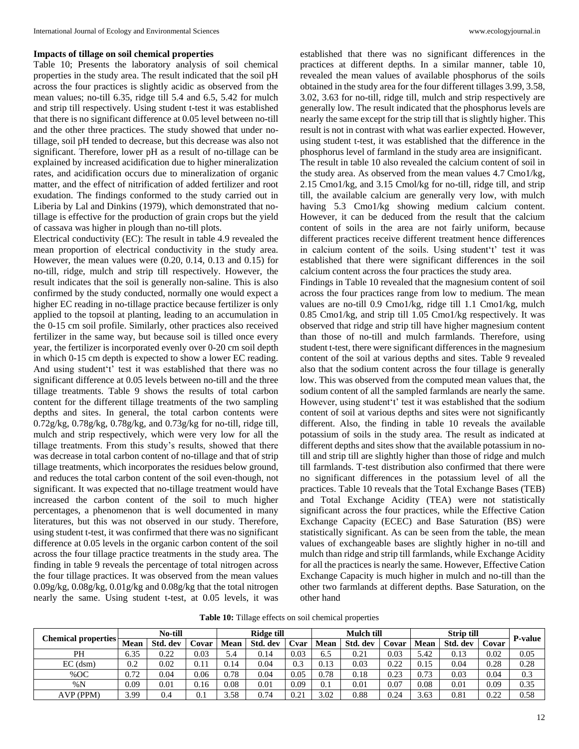#### **Impacts of tillage on soil chemical properties**

Table 10; Presents the laboratory analysis of soil chemical properties in the study area. The result indicated that the soil pH across the four practices is slightly acidic as observed from the mean values; no-till 6.35, ridge till 5.4 and 6.5, 5.42 for mulch and strip till respectively. Using student t-test it was established that there is no significant difference at 0.05 level between no-till and the other three practices. The study showed that under notillage, soil pH tended to decrease, but this decrease was also not significant. Therefore, lower pH as a result of no-tillage can be explained by increased acidification due to higher mineralization rates, and acidification occurs due to mineralization of organic matter, and the effect of nitrification of added fertilizer and root exudation. The findings conformed to the study carried out in Liberia by Lal and Dinkins (1979), which demonstrated that notillage is effective for the production of grain crops but the yield of cassava was higher in plough than no-till plots.

Electrical conductivity (EC): The result in table 4.9 revealed the mean proportion of electrical conductivity in the study area. However, the mean values were (0.20, 0.14, 0.13 and 0.15) for no-till, ridge, mulch and strip till respectively. However, the result indicates that the soil is generally non-saline. This is also confirmed by the study conducted, normally one would expect a higher EC reading in no-tillage practice because fertilizer is only applied to the topsoil at planting, leading to an accumulation in the 0-15 cm soil profile. Similarly, other practices also received fertilizer in the same way, but because soil is tilled once every year, the fertilizer is incorporated evenly over 0-20 cm soil depth in which 0-15 cm depth is expected to show a lower EC reading. And using student't' test it was established that there was no significant difference at 0.05 levels between no-till and the three tillage treatments. Table 9 shows the results of total carbon content for the different tillage treatments of the two sampling depths and sites. In general, the total carbon contents were 0.72g/kg, 0.78g/kg, 0.78g/kg, and 0.73g/kg for no-till, ridge till, mulch and strip respectively, which were very low for all the tillage treatments. From this study's results, showed that there was decrease in total carbon content of no-tillage and that of strip tillage treatments, which incorporates the residues below ground, and reduces the total carbon content of the soil even-though, not significant. It was expected that no-tillage treatment would have increased the carbon content of the soil to much higher percentages, a phenomenon that is well documented in many literatures, but this was not observed in our study. Therefore, using student t-test, it was confirmed that there was no significant difference at 0.05 levels in the organic carbon content of the soil across the four tillage practice treatments in the study area. The finding in table 9 reveals the percentage of total nitrogen across the four tillage practices. It was observed from the mean values 0.09g/kg, 0.08g/kg, 0.01g/kg and 0.08g/kg that the total nitrogen nearly the same. Using student t-test, at 0.05 levels, it was

established that there was no significant differences in the practices at different depths. In a similar manner, table 10, revealed the mean values of available phosphorus of the soils obtained in the study area for the four different tillages 3.99, 3.58, 3.02, 3.63 for no-till, ridge till, mulch and strip respectively are generally low. The result indicated that the phosphorus levels are nearly the same except for the strip till that is slightly higher. This result is not in contrast with what was earlier expected. However, using student t-test, it was established that the difference in the phosphorus level of farmland in the study area are insignificant. The result in table 10 also revealed the calcium content of soil in the study area. As observed from the mean values 4.7 Cmo1/kg, 2.15 Cmo1/kg, and 3.15 Cmol/kg for no-till, ridge till, and strip till, the available calcium are generally very low, with mulch having 5.3 Cmo1/kg showing medium calcium content. However, it can be deduced from the result that the calcium content of soils in the area are not fairly uniform, because different practices receive different treatment hence differences in calcium content of the soils. Using student't' test it was established that there were significant differences in the soil calcium content across the four practices the study area.

Findings in Table 10 revealed that the magnesium content of soil across the four practices range from low to medium. The mean values are no-till 0.9 Cmo1/kg, ridge till 1.1 Cmo1/kg, mulch 0.85 Cmo1/kg, and strip till 1.05 Cmo1/kg respectively. It was observed that ridge and strip till have higher magnesium content than those of no-till and mulch farmlands. Therefore, using student t-test, there were significant differences in the magnesium content of the soil at various depths and sites. Table 9 revealed also that the sodium content across the four tillage is generally low. This was observed from the computed mean values that, the sodium content of all the sampled farmlands are nearly the same. However, using student't' test it was established that the sodium content of soil at various depths and sites were not significantly different. Also, the finding in table 10 reveals the available potassium of soils in the study area. The result as indicated at different depths and sites show that the available potassium in notill and strip till are slightly higher than those of ridge and mulch till farmlands. T-test distribution also confirmed that there were no significant differences in the potassium level of all the practices. Table 10 reveals that the Total Exchange Bases (TEB) and Total Exchange Acidity (TEA) were not statistically significant across the four practices, while the Effective Cation Exchange Capacity (ECEC) and Base Saturation (BS) were statistically significant. As can be seen from the table, the mean values of exchangeable bases are slightly higher in no-till and mulch than ridge and strip till farmlands, while Exchange Acidity for all the practices is nearly the same. However, Effective Cation Exchange Capacity is much higher in mulch and no-till than the other two farmlands at different depths. Base Saturation, on the other hand

**Table 10:** Tillage effects on soil chemical properties

|                     |             | No-till       |        |      | <b>Ridge till</b> |      |            | Mulch till |       |      | <b>Strip till</b> |       |                |  |
|---------------------|-------------|---------------|--------|------|-------------------|------|------------|------------|-------|------|-------------------|-------|----------------|--|
| Chemical properties | <b>Mean</b> | Std.<br>. dev | .`ovar | Mean | Std. dev          | Cvar | Mean       | Std. dev   | Covar | Mean | Std. dev          | Covar | <b>P-value</b> |  |
| PH                  | 6.35        | 0.22          | 0.03   | 5.4  | 0.14              | 0.03 | 6.5        | 0.21       | 0.03  | 5.42 | 0.13              | 0.02  | 0.05           |  |
| $EC$ (dsm)          | 0.2         | 0.02          | 0.11   | 0.14 | 0.04              | 0.3  | 0.13       | 0.03       | 0.22  | 0.15 | 0.04              | 0.28  | 0.28           |  |
| %OC                 | 0.72        | 0.04          | 0.06   | 0.78 | 0.04              | 0.05 | 0.78       | 0.18       | 0.23  | 0.73 | 0.03              | 0.04  | 0.3            |  |
| %N                  | 0.09        | 0.01          | 0.16   | 0.08 | 0.01              | 0.09 | $\Omega$ . | $0.01\,$   | 0.07  | 0.08 | 0.01              | 0.09  | 0.35           |  |
| AVP (PPM)           | 3.99        | 0.4           | 0.1    | 3.58 | 0.74              | 0.21 | 3.02       | 0.88       | 0.24  | 3.63 | 0.81              | 0.22  | 0.58           |  |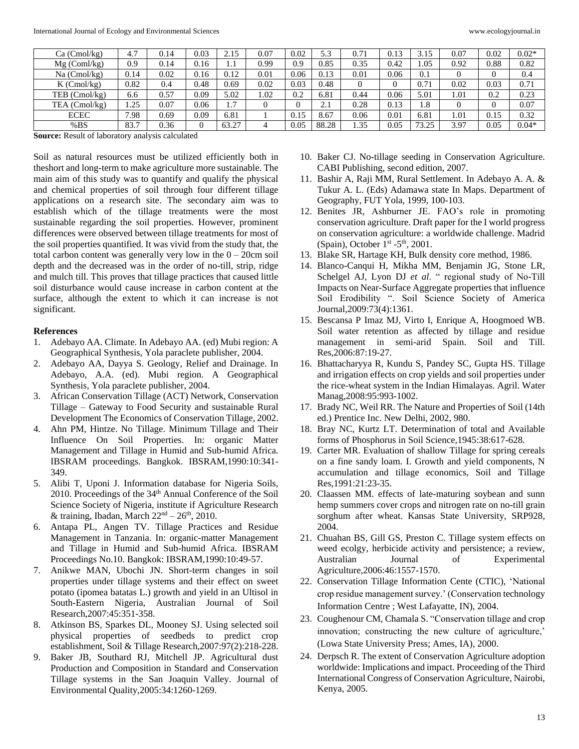| Ca (Cmol/kg)   | 4.7  | 0.14 | 0.03 | 2.15  | 0.07 | 0.02 | 5.3   | 0.71 | 0.13 | 3.15  | 0.07 | 0.02 | $0.02*$ |
|----------------|------|------|------|-------|------|------|-------|------|------|-------|------|------|---------|
| $Mg$ (Coml/kg) | 0.9  | 0.14 | 0.16 | 1.1   | 0.99 | 0.9  | 0.85  | 0.35 | 0.42 | 0.05  | 0.92 | 0.88 | 0.82    |
| Na (Cmol/kg)   | 0.14 | 0.02 | 0.16 | 0.12  | 0.01 | 0.06 | 0.13  | 0.01 | 0.06 | 0.1   |      |      | 0.4     |
| $K$ (Cmol/kg)  | 0.82 | 0.4  | 0.48 | 0.69  | 0.02 | 0.03 | 0.48  |      |      | 0.71  | 0.02 | 0.03 | 0.71    |
| TEB (Cmol/kg)  | 6.6  | 0.57 | 0.09 | 5.02  | 1.02 | 0.2  | 6.81  | 0.44 | 0.06 | 5.01  | 1.01 | 0.2  | 0.23    |
| TEA (Cmol/kg)  | 1.25 | 0.07 | 0.06 | 1.7   |      |      | 2.1   | 0.28 | 0.13 | 1.8   |      |      | 0.07    |
| ECEC           | 7.98 | 0.69 | 0.09 | 6.81  |      | 0.15 | 8.67  | 0.06 | 0.01 | 6.81  | 1.01 | 0.15 | 0.32    |
| %BS            | 83.7 | 0.36 |      | 63.27 |      | 0.05 | 88.28 | 1.35 | 0.05 | 73.25 | 3.97 | 0.05 | $0.04*$ |

**Source:** Result of laboratory analysis calculated

Soil as natural resources must be utilized efficiently both in theshort and long-term to make agriculture more sustainable. The main aim of this study was to quantify and qualify the physical and chemical properties of soil through four different tillage applications on a research site. The secondary aim was to establish which of the tillage treatments were the most sustainable regarding the soil properties. However, prominent differences were observed between tillage treatments for most of the soil properties quantified. It was vivid from the study that, the total carbon content was generally very low in the  $0 - 20$ cm soil depth and the decreased was in the order of no-till, strip, ridge and mulch till. This proves that tillage practices that caused little soil disturbance would cause increase in carbon content at the surface, although the extent to which it can increase is not significant.

#### **References**

- 1. Adebayo AA. Climate. In Adebayo AA. (ed) Mubi region: A Geographical Synthesis, Yola paraclete publisher, 2004.
- 2. Adebayo AA, Dayya S. Geology, Relief and Drainage. In Adebayo, A.A. (ed). Mubi region. A Geographical Synthesis, Yola paraclete publisher, 2004.
- 3. African Conservation Tillage (ACT) Network, Conservation Tillage – Gateway to Food Security and sustainable Rural Development The Economics of Conservation Tillage, 2002.
- 4. Ahn PM, Hintze. No Tillage. Minimum Tillage and Their Influence On Soil Properties. In: organic Matter Management and Tillage in Humid and Sub-humid Africa. IBSRAM proceedings. Bangkok. IBSRAM,1990:10:341- 349.
- 5. Alibi T, Uponi J. Information database for Nigeria Soils, 2010. Proceedings of the 34<sup>th</sup> Annual Conference of the Soil Science Society of Nigeria, institute if Agriculture Research & training, Ibadan, March  $22<sup>nd</sup> - 26<sup>th</sup>$ , 2010.
- 6. Antapa PL, Angen TV. Tillage Practices and Residue Management in Tanzania. In: organic-matter Management and Tillage in Humid and Sub-humid Africa. IBSRAM Proceedings No.10. Bangkok: IBSRAM,1990:10:49-57.
- 7. Anikwe MAN, Ubochi JN. Short-term changes in soil properties under tillage systems and their effect on sweet potato (ipomea batatas L.) growth and yield in an Ultisol in South-Eastern Nigeria, Australian Journal of Soil Research,2007:45:351-358.
- 8. Atkinson BS, Sparkes DL, Mooney SJ. Using selected soil physical properties of seedbeds to predict crop establishment, Soil & Tillage Research,2007:97(2):218-228.
- 9. Baker JB, Southard RJ, Mitchell JP. Agricultural dust Production and Composition in Standard and Conservation Tillage systems in the San Joaquin Valley. Journal of Environmental Quality,2005:34:1260-1269.
- 10. Baker CJ. No-tillage seeding in Conservation Agriculture. CABI Publishing, second edition, 2007.
- 11. Bashir A, Raji MM, Rural Settlement. In Adebayo A. A. & Tukur A. L. (Eds) Adamawa state In Maps. Department of Geography, FUT Yola, 1999, 100-103.
- 12. Benites JR, Ashburner JE. FAO's role in promoting conservation agriculture. Draft paper for the I world progress on conservation agriculture: a worldwide challenge. Madrid (Spain), October  $1<sup>st</sup> - 5<sup>th</sup>$ , 2001.
- 13. Blake SR, Hartage KH, Bulk density core method, 1986.
- 14. Blanco-Canqui H, Mikha MM, Benjamin JG, Stone LR, Schelgel AJ, Lyon DJ *et al*. " regional study of No-Till Impacts on Near-Surface Aggregate properties that influence Soil Erodibility ". Soil Science Society of America Journal,2009:73(4):1361.
- 15. Bescansa P Imaz MJ, Virto I, Enrique A, Hoogmoed WB. Soil water retention as affected by tillage and residue management in semi-arid Spain. Soil and Till. Res,2006:87:19-27.
- 16. Bhattacharyya R, Kundu S, Pandey SC, Gupta HS. Tillage and irrigation effects on crop yields and soil properties under the rice-wheat system in the Indian Himalayas. Agril. Water Manag,2008:95:993-1002.
- 17. Brady NC, Weil RR. The Nature and Properties of Soil (14th ed.) Prentice Inc. New Delhi, 2002, 980.
- 18. Bray NC, Kurtz LT. Determination of total and Available forms of Phosphorus in Soil Science,1945:38:617-628.
- 19. Carter MR. Evaluation of shallow Tillage for spring cereals on a fine sandy loam. I. Growth and yield components, N accumulation and tillage economics, Soil and Tillage Res,1991:21:23-35.
- 20. Claassen MM. effects of late-maturing soybean and sunn hemp summers cover crops and nitrogen rate on no-till grain sorghum after wheat. Kansas State University, SRP928, 2004.
- 21. Chuahan BS, Gill GS, Preston C. Tillage system effects on weed ecolgy, herbicide activity and persistence; a review, Australian Journal of Experimental Agriculture,2006:46:1557-1570.
- 22. Conservation Tillage Information Cente (CTIC), 'National crop residue management survey.' (Conservation technology Information Centre ; West Lafayatte, IN), 2004.
- 23. Coughenour CM, Chamala S. "Conservation tillage and crop innovation; constructing the new culture of agriculture,' (Lowa State University Press; Ames, IA), 2000.
- 24. Derpsch R. The extent of Conservation Agriculture adoption worldwide: Implications and impact. Proceeding of the Third International Congress of Conservation Agriculture, Nairobi, Kenya, 2005.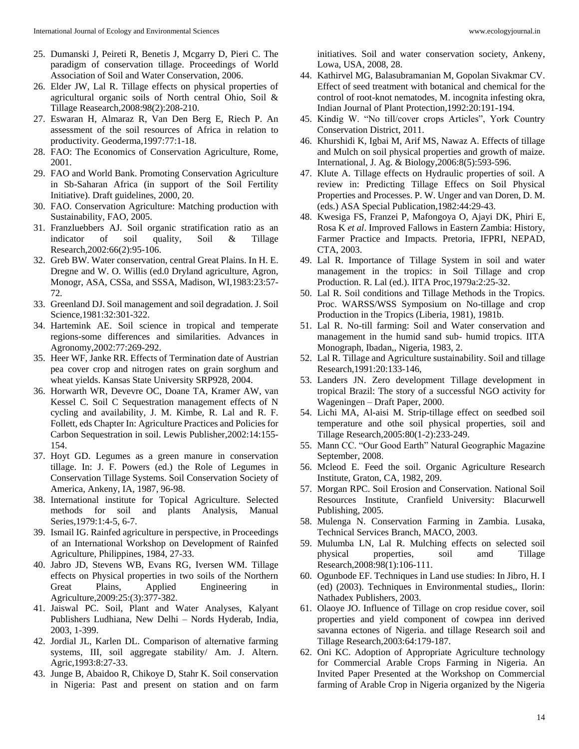- 25. Dumanski J, Peireti R, Benetis J, Mcgarry D, Pieri C. The paradigm of conservation tillage. Proceedings of World Association of Soil and Water Conservation, 2006.
- 26. Elder JW, Lal R. Tillage effects on physical properties of agricultural organic soils of North central Ohio, Soil & Tillage Reasearch,2008:98(2):208-210.
- 27. Eswaran H, Almaraz R, Van Den Berg E, Riech P. An assessment of the soil resources of Africa in relation to productivity. Geoderma,1997:77:1-18.
- 28. FAO: The Economics of Conservation Agriculture, Rome, 2001.
- 29. FAO and World Bank. Promoting Conservation Agriculture in Sb-Saharan Africa (in support of the Soil Fertility Initiative). Draft guidelines, 2000, 20.
- 30. FAO. Conservation Agriculture: Matching production with Sustainability, FAO, 2005.
- 31. Franzluebbers AJ. Soil organic stratification ratio as an indicator of soil quality, Soil & Tillage Research,2002:66(2):95-106.
- 32. Greb BW. Water conservation, central Great Plains. In H. E. Dregne and W. O. Willis (ed.0 Dryland agriculture, Agron, Monogr, ASA, CSSa, and SSSA, Madison, WI,1983:23:57- 72.
- 33. Greenland DJ. Soil management and soil degradation. J. Soil Science,1981:32:301-322.
- 34. Hartemink AE. Soil science in tropical and temperate regions-some differences and similarities. Advances in Agronomy,2002:77:269-292.
- 35. Heer WF, Janke RR. Effects of Termination date of Austrian pea cover crop and nitrogen rates on grain sorghum and wheat yields. Kansas State University SRP928, 2004.
- 36. Horwarth WR, Devevre OC, Doane TA, Kramer AW, van Kessel C. Soil C Sequestration management effects of N cycling and availability, J. M. Kimbe, R. Lal and R. F. Follett, eds Chapter In: Agriculture Practices and Policies for Carbon Sequestration in soil. Lewis Publisher,2002:14:155- 154.
- 37. Hoyt GD. Legumes as a green manure in conservation tillage. In: J. F. Powers (ed.) the Role of Legumes in Conservation Tillage Systems. Soil Conservation Society of America, Ankeny, IA, 1987, 96-98.
- 38. International institute for Topical Agriculture. Selected methods for soil and plants Analysis, Manual Series,1979:1:4-5, 6-7.
- 39. Ismail IG. Rainfed agriculture in perspective, in Proceedings of an International Workshop on Development of Rainfed Agriculture, Philippines, 1984, 27-33.
- 40. Jabro JD, Stevens WB, Evans RG, Iversen WM. Tillage effects on Physical properties in two soils of the Northern Great Plains, Applied Engineering in Agriculture,2009:25:(3):377-382.
- 41. Jaiswal PC. Soil, Plant and Water Analyses, Kalyant Publishers Ludhiana, New Delhi – Nords Hyderab, India, 2003, 1-399.
- 42. Jordial JL, Karlen DL. Comparison of alternative farming systems, III, soil aggregate stability/ Am. J. Altern. Agric,1993:8:27-33.
- 43. Junge B, Abaidoo R, Chikoye D, Stahr K. Soil conservation in Nigeria: Past and present on station and on farm

initiatives. Soil and water conservation society, Ankeny, Lowa, USA, 2008, 28.

- 44. Kathirvel MG, Balasubramanian M, Gopolan Sivakmar CV. Effect of seed treatment with botanical and chemical for the control of root-knot nematodes, M. incognita infesting okra, Indian Journal of Plant Protection,1992:20:191-194.
- 45. Kindig W. "No till/cover crops Articles", York Country Conservation District, 2011.
- 46. Khurshidi K, Igbai M, Arif MS, Nawaz A. Effects of tillage and Mulch on soil physical properties and growth of maize. International, J. Ag. & Biology,2006:8(5):593-596.
- 47. Klute A. Tillage effects on Hydraulic properties of soil. A review in: Predicting Tillage Effecs on Soil Physical Properties and Processes. P. W. Unger and van Doren, D. M. (eds.) ASA Special Publication,1982:44:29-43.
- 48. Kwesiga FS, Franzei P, Mafongoya O, Ajayi DK, Phiri E, Rosa K *et al*. Improved Fallows in Eastern Zambia: History, Farmer Practice and Impacts. Pretoria, IFPRI, NEPAD, CTA, 2003.
- 49. Lal R. Importance of Tillage System in soil and water management in the tropics: in Soil Tillage and crop Production. R. Lal (ed.). IITA Proc,1979a:2:25-32.
- 50. Lal R. Soil conditions and Tillage Methods in the Tropics. Proc. WARSS/WSS Symposium on No-tillage and crop Production in the Tropics (Liberia, 1981), 1981b.
- 51. Lal R. No-till farming: Soil and Water conservation and management in the humid sand sub- humid tropics. IITA Monograph, Ibadan,, Nigeria, 1983, 2.
- 52. Lal R. Tillage and Agriculture sustainability. Soil and tillage Research,1991:20:133-146,
- 53. Landers JN. Zero development Tillage development in tropical Brazil: The story of a successful NGO activity for Wageningen – Draft Paper, 2000.
- 54. Lichi MA, Al-aisi M. Strip-tillage effect on seedbed soil temperature and othe soil physical properties, soil and Tillage Research,2005:80(1-2):233-249.
- 55. Mann CC. "Our Good Earth" Natural Geographic Magazine September, 2008.
- 56. Mcleod E. Feed the soil. Organic Agriculture Research Institute, Graton, CA, 1982, 209.
- 57. Morgan RPC. Soil Erosion and Conservation. National Soil Resources Institute, Cranfield University: Blacurwell Publishing, 2005.
- 58. Mulenga N. Conservation Farming in Zambia. Lusaka, Technical Services Branch, MACO, 2003.
- 59. Mulumba LN, Lal R. Mulching effects on selected soil physical properties, soil amd Tillage Research,2008:98(1):106-111.
- 60. Ogunbode EF. Techniques in Land use studies: In Jibro, H. I (ed) (2003). Techniques in Environmental studies,, Ilorin: Nathadex Publishers, 2003.
- 61. Olaoye JO. Influence of Tillage on crop residue cover, soil properties and yield component of cowpea inn derived savanna ectones of Nigeria. and tillage Research soil and Tillage Research,2003:64:179-187.
- 62. Oni KC. Adoption of Appropriate Agriculture technology for Commercial Arable Crops Farming in Nigeria. An Invited Paper Presented at the Workshop on Commercial farming of Arable Crop in Nigeria organized by the Nigeria